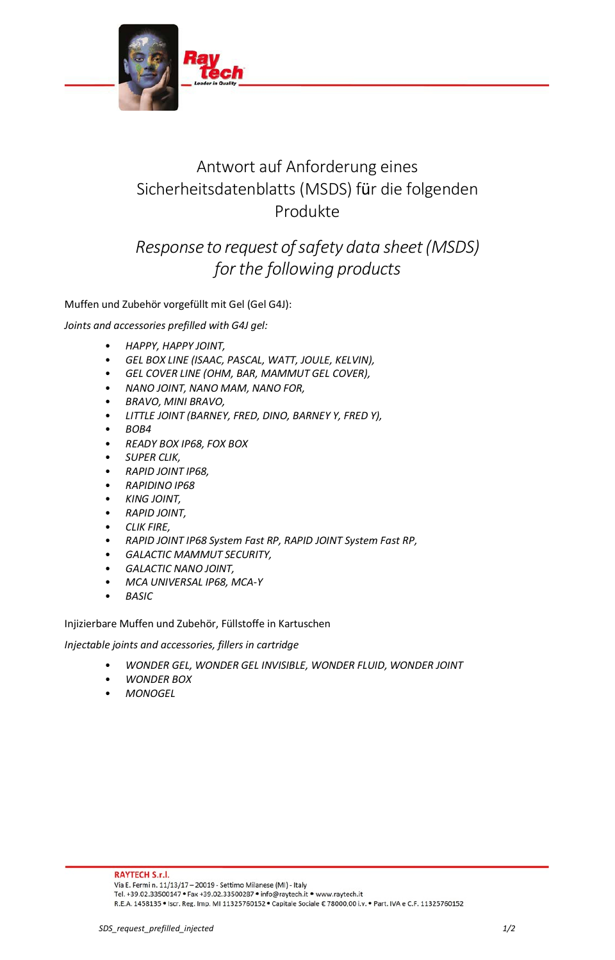

## Antwort auf Anforderung eines Sicherheitsdatenblatts (MSDS) für die folgenden Produkte

## *Response to request ofsafety data sheet(MSDS) for the following products*

Muffen und Zubehör vorgefüllt mit Gel (Gel G4J):

*Joints and accessories prefilled with G4J gel:*

- *HAPPY, HAPPY JOINT,*
- *GEL BOX LINE (ISAAC, PASCAL, WATT, JOULE, KELVIN),*
- *GEL COVER LINE (OHM, BAR, MAMMUT GEL COVER),*
- *NANO JOINT, NANO MAM, NANO FOR,*
- *BRAVO, MINI BRAVO,*
- *LITTLE JOINT (BARNEY, FRED, DINO, BARNEY Y, FRED Y),*
- *BOB4*
- *READY BOX IP68, FOX BOX*
- *SUPER CLIK,*
- *RAPID JOINT IP68,*
- *RAPIDINO IP68*
- *KING JOINT,*
- *RAPID JOINT,*
- *CLIK FIRE,*
- *RAPID JOINT IP68 System Fast RP, RAPID JOINT System Fast RP,*
- *GALACTIC MAMMUT SECURITY,*
- *GALACTIC NANO JOINT,*
- *MCA UNIVERSAL IP68, MCA-Y*
- *BASIC*

Injizierbare Muffen und Zubehör, Füllstoffe in Kartuschen

*Injectable joints and accessories, fillers in cartridge*

- *WONDER GEL, WONDER GEL INVISIBLE, WONDER FLUID, WONDER JOINT*
- *WONDER BOX*
- *MONOGEL*